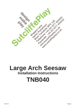

# **Large Arch Seesaw Installation Instructions TNB040**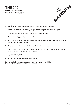### **TNB040 Large Arch Seesaw Installation Instructions**



- 1 Check using the Parts List that none of the components are missing.
- 2 Plan the final position of the play equipment ensuring there is sufficient space.
- 3 Excavate the foundation holes in accordance with the plan.
- 4 Sort and identify parts before assembly.
- 5 Place the Earth Plate in the foundation hole and fill with concrete. Ensure Earth Plate is level and at the correct depth.
- 6 When the concrete has set (2 3 days), fit the Seesaw Assembly.
- 7 Do not allow the equipment to be used until the concrete has completely set and the required safety surfacing has been installed.
- 8 Tighten all fixing bolts.
- 9 Follow the maintenance instructions supplied.

During installation care must be taken to prevent hazards to children. Care should be taken if conditions are abnormal.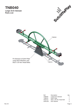**Large Arch Seesaw Parts List TNB040**





| Ref           | Description                        | Qtv |
|---------------|------------------------------------|-----|
| <b>TNB040</b> | Large Arch Seesaw                  |     |
| <b>TNB215</b> | Earth Plate                        | 1.  |
| <b>HSS712</b> | M <sub>16</sub> x 35 Hex Head Bolt | 4   |
| <b>WSR190</b> | M <sub>16</sub> Washer             | 4   |